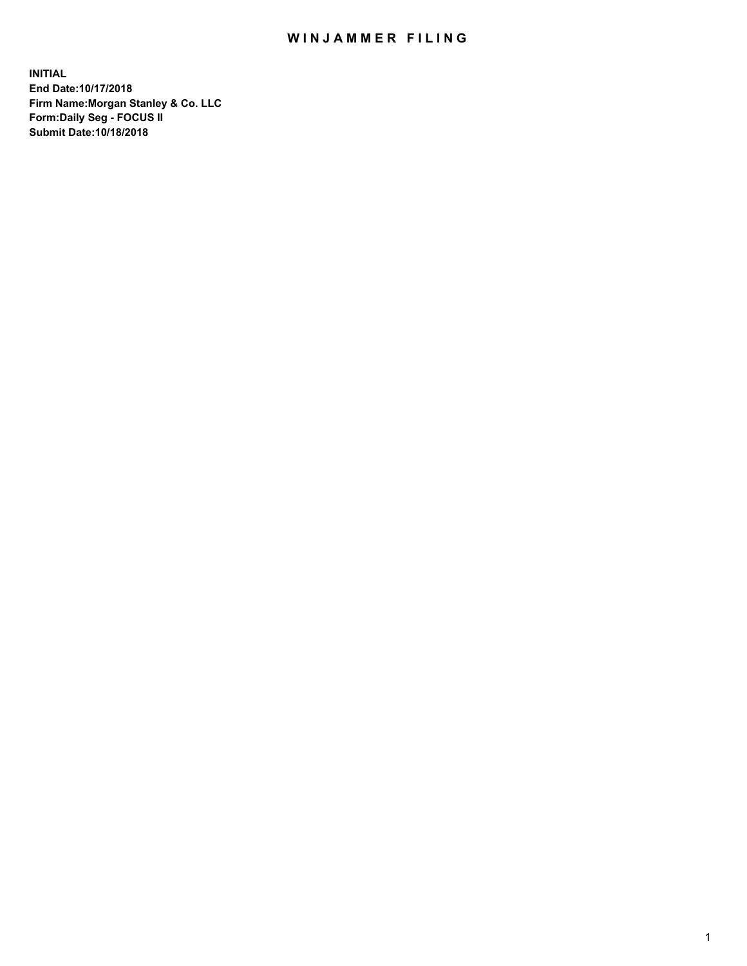## WIN JAMMER FILING

**INITIAL End Date:10/17/2018 Firm Name:Morgan Stanley & Co. LLC Form:Daily Seg - FOCUS II Submit Date:10/18/2018**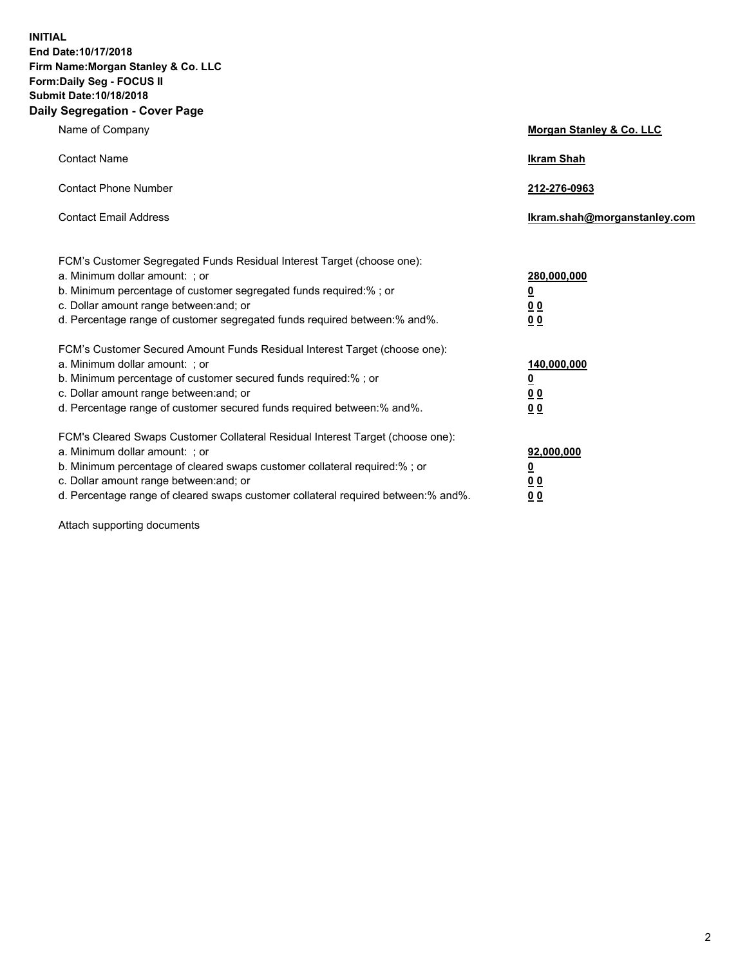**INITIAL End Date:10/17/2018 Firm Name:Morgan Stanley & Co. LLC Form:Daily Seg - FOCUS II Submit Date:10/18/2018 Daily Segregation - Cover Page**

| Name of Company                                                                   | Morgan Stanley & Co. LLC     |
|-----------------------------------------------------------------------------------|------------------------------|
| <b>Contact Name</b>                                                               | <b>Ikram Shah</b>            |
| <b>Contact Phone Number</b>                                                       | 212-276-0963                 |
| <b>Contact Email Address</b>                                                      | Ikram.shah@morganstanley.com |
| FCM's Customer Segregated Funds Residual Interest Target (choose one):            |                              |
| a. Minimum dollar amount: ; or                                                    | 280,000,000                  |
| b. Minimum percentage of customer segregated funds required:% ; or                | <u>0</u>                     |
| c. Dollar amount range between: and; or                                           | <u>00</u>                    |
| d. Percentage range of customer segregated funds required between:% and%.         | 0 <sub>0</sub>               |
| FCM's Customer Secured Amount Funds Residual Interest Target (choose one):        |                              |
| a. Minimum dollar amount: ; or                                                    | 140,000,000                  |
| b. Minimum percentage of customer secured funds required:%; or                    | <u>0</u>                     |
| c. Dollar amount range between: and; or                                           | <u>00</u>                    |
| d. Percentage range of customer secured funds required between:% and%.            | 00                           |
| FCM's Cleared Swaps Customer Collateral Residual Interest Target (choose one):    |                              |
| a. Minimum dollar amount: ; or                                                    | 92,000,000                   |
| b. Minimum percentage of cleared swaps customer collateral required:% ; or        | <u>0</u>                     |
| c. Dollar amount range between: and; or                                           | 0 Q                          |
| d. Percentage range of cleared swaps customer collateral required between:% and%. | 00                           |

Attach supporting documents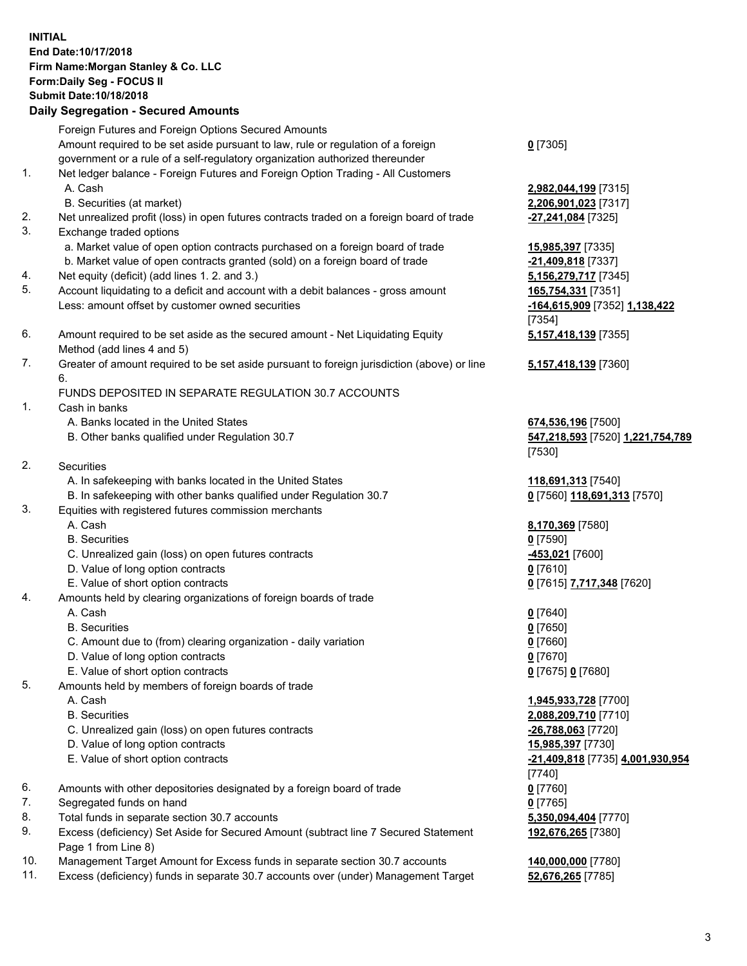## **INITIAL End Date:10/17/2018 Firm Name:Morgan Stanley & Co. LLC Form:Daily Seg - FOCUS II Submit Date:10/18/2018**

## **Daily Segregation - Secured Amounts**

Foreign Futures and Foreign Options Secured Amounts Amount required to be set aside pursuant to law, rule or regulation of a foreign government or a rule of a self-regulatory organization authorized thereunder 1. Net ledger balance - Foreign Futures and Foreign Option Trading - All Customers A. Cash **2,982,044,199** [7315] B. Securities (at market) **2,206,901,023** [7317]

- 2. Net unrealized profit (loss) in open futures contracts traded on a foreign board of trade **-27,241,084** [7325]
- 3. Exchange traded options
	- a. Market value of open option contracts purchased on a foreign board of trade **15,985,397** [7335]
	- b. Market value of open contracts granted (sold) on a foreign board of trade **-21,409,818** [7337]
- 4. Net equity (deficit) (add lines 1. 2. and 3.) **5,156,279,717** [7345]
- 5. Account liquidating to a deficit and account with a debit balances gross amount **165,754,331** [7351] Less: amount offset by customer owned securities **-164,615,909** [7352] **1,138,422**
- 6. Amount required to be set aside as the secured amount Net Liquidating Equity Method (add lines 4 and 5)
- 7. Greater of amount required to be set aside pursuant to foreign jurisdiction (above) or line 6.

## FUNDS DEPOSITED IN SEPARATE REGULATION 30.7 ACCOUNTS

- 1. Cash in banks
	- A. Banks located in the United States **674,536,196** [7500]
	- B. Other banks qualified under Regulation 30.7 **547,218,593** [7520] **1,221,754,789**
- 2. Securities
	- A. In safekeeping with banks located in the United States **118,691,313** [7540]
	- B. In safekeeping with other banks qualified under Regulation 30.7 **0** [7560] **118,691,313** [7570]
- 3. Equities with registered futures commission merchants
	-
	- B. Securities **0** [7590]
	- C. Unrealized gain (loss) on open futures contracts **-453,021** [7600]
	- D. Value of long option contracts **0** [7610]
- E. Value of short option contracts **0** [7615] **7,717,348** [7620]
- 4. Amounts held by clearing organizations of foreign boards of trade
	- A. Cash **0** [7640]
	- B. Securities **0** [7650]
	- C. Amount due to (from) clearing organization daily variation **0** [7660]
	- D. Value of long option contracts **0** [7670]
	- E. Value of short option contracts **0** [7675] **0** [7680]
- 5. Amounts held by members of foreign boards of trade
	-
	-
	- C. Unrealized gain (loss) on open futures contracts **-26,788,063** [7720]
	- D. Value of long option contracts **15,985,397** [7730]
	- E. Value of short option contracts **-21,409,818** [7735] **4,001,930,954**
- 6. Amounts with other depositories designated by a foreign board of trade **0** [7760]
- 7. Segregated funds on hand **0** [7765]
- 8. Total funds in separate section 30.7 accounts **5,350,094,404** [7770]
- 9. Excess (deficiency) Set Aside for Secured Amount (subtract line 7 Secured Statement Page 1 from Line 8)
- 10. Management Target Amount for Excess funds in separate section 30.7 accounts **140,000,000** [7780]
- 11. Excess (deficiency) funds in separate 30.7 accounts over (under) Management Target **52,676,265** [7785]

**0** [7305]

[7354] **5,157,418,139** [7355]

**5,157,418,139** [7360]

[7530]

A. Cash **8,170,369** [7580]

 A. Cash **1,945,933,728** [7700] B. Securities **2,088,209,710** [7710] [7740] **192,676,265** [7380]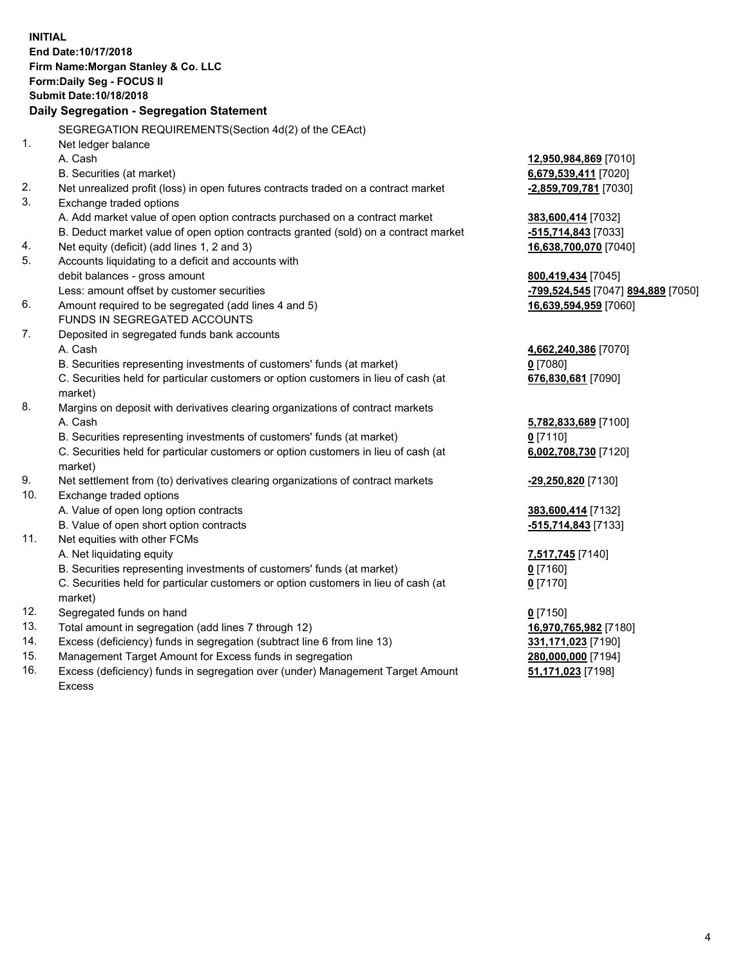|     | <b>INITIAL</b><br>End Date: 10/17/2018<br>Firm Name: Morgan Stanley & Co. LLC<br>Form: Daily Seg - FOCUS II |                                               |
|-----|-------------------------------------------------------------------------------------------------------------|-----------------------------------------------|
|     | Submit Date: 10/18/2018                                                                                     |                                               |
|     | Daily Segregation - Segregation Statement                                                                   |                                               |
|     |                                                                                                             |                                               |
|     | SEGREGATION REQUIREMENTS(Section 4d(2) of the CEAct)                                                        |                                               |
| 1.  | Net ledger balance<br>A. Cash                                                                               |                                               |
|     | B. Securities (at market)                                                                                   | 12,950,984,869 [7010]<br>6,679,539,411 [7020] |
| 2.  | Net unrealized profit (loss) in open futures contracts traded on a contract market                          | -2,859,709,781 [7030]                         |
| 3.  | Exchange traded options                                                                                     |                                               |
|     | A. Add market value of open option contracts purchased on a contract market                                 | 383,600,414 [7032]                            |
|     | B. Deduct market value of open option contracts granted (sold) on a contract market                         | -515,714,843 [7033]                           |
| 4.  | Net equity (deficit) (add lines 1, 2 and 3)                                                                 | 16,638,700,070 [7040]                         |
| 5.  | Accounts liquidating to a deficit and accounts with                                                         |                                               |
|     | debit balances - gross amount                                                                               | 800,419,434 [7045]                            |
|     | Less: amount offset by customer securities                                                                  | -799,524,545 [7047] 894,889 [7050]            |
| 6.  | Amount required to be segregated (add lines 4 and 5)                                                        | 16,639,594,959 [7060]                         |
|     | FUNDS IN SEGREGATED ACCOUNTS                                                                                |                                               |
| 7.  | Deposited in segregated funds bank accounts                                                                 |                                               |
|     | A. Cash                                                                                                     | 4,662,240,386 [7070]                          |
|     | B. Securities representing investments of customers' funds (at market)                                      | $0$ [7080]                                    |
|     | C. Securities held for particular customers or option customers in lieu of cash (at                         | 676,830,681 [7090]                            |
| 8.  | market)                                                                                                     |                                               |
|     | Margins on deposit with derivatives clearing organizations of contract markets<br>A. Cash                   |                                               |
|     |                                                                                                             | 5,782,833,689 [7100]                          |
|     | B. Securities representing investments of customers' funds (at market)                                      | $0$ [7110]                                    |
|     | C. Securities held for particular customers or option customers in lieu of cash (at<br>market)              | 6,002,708,730 [7120]                          |
| 9.  | Net settlement from (to) derivatives clearing organizations of contract markets                             | -29,250,820 [7130]                            |
| 10. | Exchange traded options                                                                                     |                                               |
|     | A. Value of open long option contracts                                                                      | 383,600,414 [7132]                            |
|     | B. Value of open short option contracts                                                                     | -515,714,843 [7133]                           |
| 11. | Net equities with other FCMs                                                                                |                                               |
|     | A. Net liquidating equity                                                                                   | 7,517,745 [7140]                              |
|     | B. Securities representing investments of customers' funds (at market)                                      | <u>0</u> [7160]                               |
|     | C. Securities held for particular customers or option customers in lieu of cash (at<br>market)              | $0$ [7170]                                    |
| 12. | Segregated funds on hand                                                                                    | $0$ [7150]                                    |
| 13. | Total amount in segregation (add lines 7 through 12)                                                        | 16,970,765,982 [7180]                         |
| 14. | Excess (deficiency) funds in segregation (subtract line 6 from line 13)                                     | 331,171,023 [7190]                            |
| 15. | Management Target Amount for Excess funds in segregation                                                    | 280,000,000 [7194]                            |
| 16. | Excess (deficiency) funds in segregation over (under) Management Target Amount                              | 51,171,023 [7198]                             |

16. Excess (deficiency) funds in segregation over (under) Management Target Amount Excess